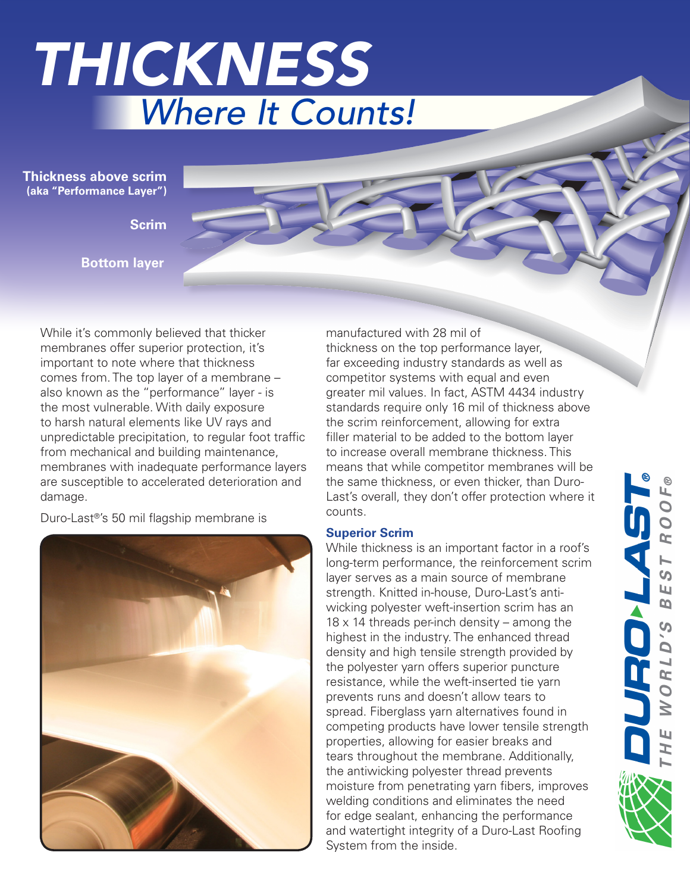

**Thickness above scrim (aka "Performance Layer")**

**Scrim**

**Bottom layer**

While it's commonly believed that thicker membranes offer superior protection, it's important to note where that thickness comes from. The top layer of a membrane – also known as the "performance" layer - is the most vulnerable. With daily exposure to harsh natural elements like UV rays and unpredictable precipitation, to regular foot traffic from mechanical and building maintenance, membranes with inadequate performance layers are susceptible to accelerated deterioration and damage.

Duro-Last®'s 50 mil flagship membrane is



manufactured with 28 mil of thickness on the top performance layer, far exceeding industry standards as well as competitor systems with equal and even greater mil values. In fact, ASTM 4434 industry standards require only 16 mil of thickness above the scrim reinforcement, allowing for extra filler material to be added to the bottom layer to increase overall membrane thickness. This means that while competitor membranes will be the same thickness, or even thicker, than Duro-Last's overall, they don't offer protection where it counts.

### **Superior Scrim**

While thickness is an important factor in a roof's long-term performance, the reinforcement scrim layer serves as a main source of membrane strength. Knitted in-house, Duro-Last's antiwicking polyester weft-insertion scrim has an  $18 \times 14$  threads per-inch density – among the highest in the industry. The enhanced thread density and high tensile strength provided by the polyester yarn offers superior puncture resistance, while the weft-inserted tie yarn prevents runs and doesn't allow tears to spread. Fiberglass yarn alternatives found in competing products have lower tensile strength properties, allowing for easier breaks and tears throughout the membrane. Additionally, the antiwicking polyester thread prevents moisture from penetrating yarn fibers, improves welding conditions and eliminates the need for edge sealant, enhancing the performance and watertight integrity of a Duro-Last Roofing System from the inside.